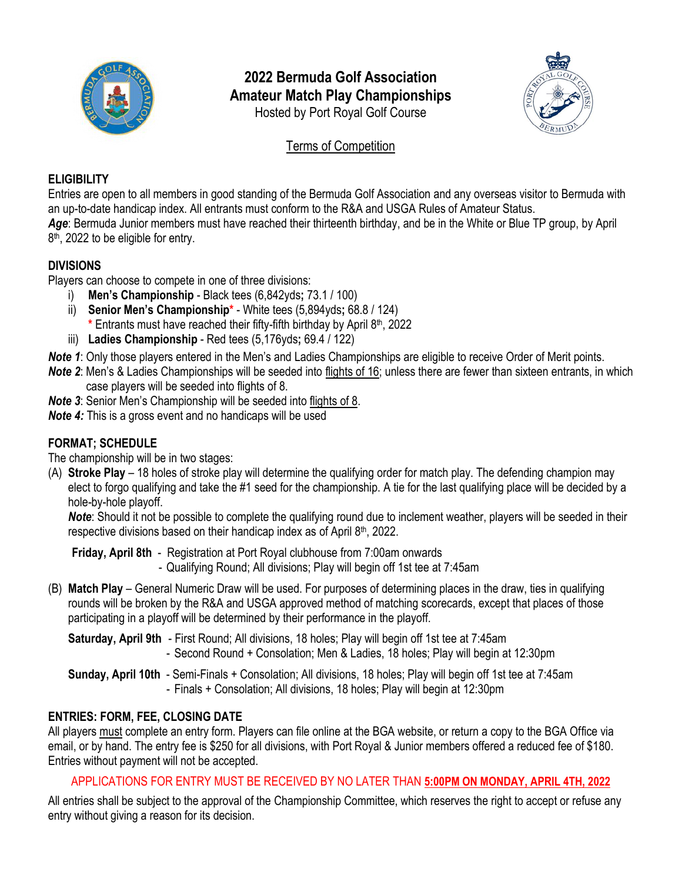

# **2022 Bermuda Golf Association Amateur Match Play Championships** Hosted by Port Royal Golf Course



Terms of Competition

## **ELIGIBILITY**

Entries are open to all members in good standing of the Bermuda Golf Association and any overseas visitor to Bermuda with an up-to-date handicap index. All entrants must conform to the R&A and USGA Rules of Amateur Status. *Age*: Bermuda Junior members must have reached their thirteenth birthday, and be in the White or Blue TP group, by April 8<sup>th</sup>, 2022 to be eligible for entry.

## **DIVISIONS**

Players can choose to compete in one of three divisions:

- i) **Men's Championship**  Black tees (6,842yds**;** 73.1 / 100)
- ii) **Senior Men's Championship\*** White tees (5,894yds**;** 68.8 / 124) **\*** Entrants must have reached their fifty-fifth birthday by April 8 th, 2022
- iii) **Ladies Championship** Red tees (5,176yds**;** 69.4 / 122)
- *Note 1*: Only those players entered in the Men's and Ladies Championships are eligible to receive Order of Merit points.
- *Note 2*: Men's & Ladies Championships will be seeded into flights of 16; unless there are fewer than sixteen entrants, in which case players will be seeded into flights of 8.
- *Note 3*: Senior Men's Championship will be seeded into flights of 8.
- *Note 4:* This is a gross event and no handicaps will be used

## **FORMAT; SCHEDULE**

- The championship will be in two stages:
- (A) **Stroke Play** 18 holes of stroke play will determine the qualifying order for match play. The defending champion may elect to forgo qualifying and take the #1 seed for the championship. A tie for the last qualifying place will be decided by a hole-by-hole playoff.

*Note*: Should it not be possible to complete the qualifying round due to inclement weather, players will be seeded in their respective divisions based on their handicap index as of April 8th, 2022.

**Friday, April 8th** - Registration at Port Royal clubhouse from 7:00am onwards - Qualifying Round; All divisions; Play will begin off 1st tee at 7:45am

- (B) **Match Play** General Numeric Draw will be used. For purposes of determining places in the draw, ties in qualifying rounds will be broken by the R&A and USGA approved method of matching scorecards, except that places of those participating in a playoff will be determined by their performance in the playoff.
	- **Saturday, April 9th** First Round; All divisions, 18 holes; Play will begin off 1st tee at 7:45am - Second Round + Consolation; Men & Ladies, 18 holes; Play will begin at 12:30pm
	- **Sunday, April 10th** Semi-Finals + Consolation; All divisions, 18 holes; Play will begin off 1st tee at 7:45am - Finals + Consolation; All divisions, 18 holes; Play will begin at 12:30pm

## **ENTRIES: FORM, FEE, CLOSING DATE**

All players must complete an entry form. Players can file online at the BGA website, or return a copy to the BGA Office via email, or by hand. The entry fee is \$250 for all divisions, with Port Royal & Junior members offered a reduced fee of \$180. Entries without payment will not be accepted.

## APPLICATIONS FOR ENTRY MUST BE RECEIVED BY NO LATER THAN **5:00PM ON MONDAY, APRIL 4TH, 2022**

All entries shall be subject to the approval of the Championship Committee, which reserves the right to accept or refuse any entry without giving a reason for its decision.